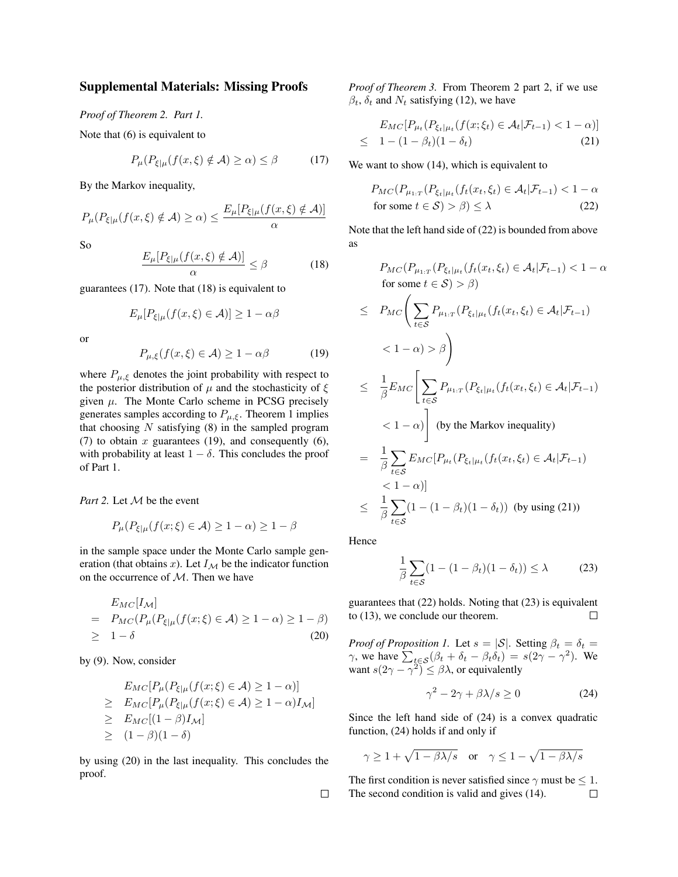## Supplemental Materials: Missing Proofs

*Proof of Theorem 2. Part 1.*

Note that (6) is equivalent to

$$
P_{\mu}(P_{\xi|\mu}(f(x,\xi) \notin \mathcal{A}) \ge \alpha) \le \beta \tag{17}
$$

By the Markov inequality,

$$
P_{\mu}(P_{\xi|\mu}(f(x,\xi) \notin \mathcal{A}) \ge \alpha) \le \frac{E_{\mu}[P_{\xi|\mu}(f(x,\xi) \notin \mathcal{A})]}{\alpha}
$$

So

$$
\frac{E_{\mu}[P_{\xi|\mu}(f(x,\xi) \notin \mathcal{A})]}{\alpha} \leq \beta \tag{18}
$$

guarantees (17). Note that (18) is equivalent to

$$
E_{\mu}[P_{\xi|\mu}(f(x,\xi) \in \mathcal{A})] \ge 1 - \alpha \beta
$$

or

$$
P_{\mu,\xi}(f(x,\xi) \in \mathcal{A}) \ge 1 - \alpha \beta \tag{19}
$$

where  $P_{\mu,\xi}$  denotes the joint probability with respect to the posterior distribution of  $\mu$  and the stochasticity of  $\xi$ given  $\mu$ . The Monte Carlo scheme in PCSG precisely generates samples according to  $P_{\mu,\xi}$ . Theorem 1 implies that choosing  $N$  satisfying  $(8)$  in the sampled program (7) to obtain  $x$  guarantees (19), and consequently (6), with probability at least  $1 - \delta$ . This concludes the proof of Part 1.

*Part 2.* Let  $M$  be the event

$$
P_{\mu}(P_{\xi|\mu}(f(x;\xi) \in \mathcal{A}) \ge 1 - \alpha) \ge 1 - \beta
$$

in the sample space under the Monte Carlo sample generation (that obtains x). Let  $I_{\mathcal{M}}$  be the indicator function on the occurrence of  $M$ . Then we have

$$
E_{MC}[I_{\mathcal{M}}]
$$
  
=  $P_{MC}(P_{\mu}(P_{\xi|\mu}(f(x;\xi) \in \mathcal{A}) \ge 1 - \alpha) \ge 1 - \beta)$   
 $\ge 1 - \delta$  (20)

by (9). Now, consider

$$
E_{MC}[P_{\mu}(P_{\xi|\mu}(f(x;\xi) \in \mathcal{A}) \ge 1 - \alpha)]
$$
  
\n
$$
\ge E_{MC}[P_{\mu}(P_{\xi|\mu}(f(x;\xi) \in \mathcal{A}) \ge 1 - \alpha)I_{\mathcal{M}}]
$$
  
\n
$$
\ge E_{MC}[(1 - \beta)I_{\mathcal{M}}]
$$
  
\n
$$
\ge (1 - \beta)(1 - \delta)
$$

by using (20) in the last inequality. This concludes the proof.

*Proof of Theorem 3.* From Theorem 2 part 2, if we use  $\beta_t$ ,  $\delta_t$  and  $N_t$  satisfying (12), we have

$$
E_{MC}[P_{\mu_t}(P_{\xi_t|\mu_t}(f(x;\xi_t) \in \mathcal{A}_t | \mathcal{F}_{t-1}) < 1 - \alpha)]
$$
  
\n
$$
\leq 1 - (1 - \beta_t)(1 - \delta_t) \tag{21}
$$

We want to show (14), which is equivalent to

$$
P_{MC}(P_{\mu_{1:T}}(P_{\xi_t|\mu_t}(f_t(x_t,\xi_t) \in \mathcal{A}_t|\mathcal{F}_{t-1}) < 1 - \alpha
$$
  
for some  $t \in \mathcal{S}) > \beta) \le \lambda$  (22)

Note that the left hand side of (22) is bounded from above as

$$
P_{MC}(P_{\mu_1:T}(P_{\xi_t|\mu_t}(f_t(x_t, \xi_t) \in \mathcal{A}_t|\mathcal{F}_{t-1}) < 1 - \alpha
$$
  
for some  $t \in \mathcal{S}) > \beta$ )  

$$
\leq P_{MC}\left(\sum_{t \in \mathcal{S}} P_{\mu_1:T}(P_{\xi_t|\mu_t}(f_t(x_t, \xi_t) \in \mathcal{A}_t|\mathcal{F}_{t-1})
$$

$$
< 1 - \alpha) > \beta\right)
$$
  

$$
\leq \frac{1}{\beta}E_{MC}\left[\sum_{t \in \mathcal{S}} P_{\mu_1:T}(P_{\xi_t|\mu_t}(f_t(x_t, \xi_t) \in \mathcal{A}_t|\mathcal{F}_{t-1})
$$

$$
< 1 - \alpha)\right] \text{ (by the Markov inequality)}
$$

$$
= \frac{1}{\beta}\sum_{t \in \mathcal{S}} E_{MC}[P_{\mu_t}(P_{\xi_t|\mu_t}(f_t(x_t, \xi_t) \in \mathcal{A}_t|\mathcal{F}_{t-1})
$$

$$
< 1 - \alpha)]
$$

$$
\leq \frac{1}{\beta}\sum_{t \in \mathcal{S}}(1 - (1 - \beta_t)(1 - \delta_t)) \text{ (by using (21))}
$$

Hence

$$
\frac{1}{\beta} \sum_{t \in S} (1 - (1 - \beta_t)(1 - \delta_t)) \le \lambda \tag{23}
$$

guarantees that (22) holds. Noting that (23) is equivalent to (13), we conclude our theorem.  $\Box$ 

*Proof of Proposition 1.* Let  $s = |\mathcal{S}|$ . Setting  $\beta_t = \delta_t =$  $\gamma$ , we have  $\sum_{t \in S} (\beta_t + \delta_t - \beta_t \delta_t) = s(2\gamma - \gamma^2)$ . We want  $s(2\gamma - \gamma^2) \leq \beta \lambda$ , or equivalently

$$
\gamma^2 - 2\gamma + \beta \lambda / s \ge 0 \tag{24}
$$

Since the left hand side of (24) is a convex quadratic function, (24) holds if and only if

$$
\gamma \ge 1 + \sqrt{1 - \beta \lambda/s} \quad \text{or} \quad \gamma \le 1 - \sqrt{1 - \beta \lambda/s}
$$

The first condition is never satisfied since  $\gamma$  must be  $\leq 1$ . The second condition is valid and gives (14). $\Box$ 

 $\Box$